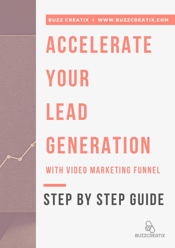

## Accelerate your Lead GENERATION with Video MARketing funnel STEP BY STEP GUIDE

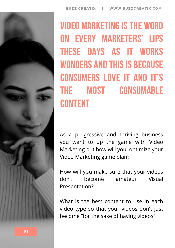## Video marketing is the word on every marketers' lips these days as it works WONDERS AND THIS IS BECAUSE consumers love it and it's the most consumable **CONTENT**

As a progressive and thriving business you want to up the game with Video Marketing but how will you optimize your Video Marketing game plan?

How will you make sure that your videos don't become amateur Visual Presentation?

What is the best content to use in each video type so that your videos don't just become "for the sake of having videos"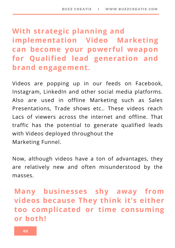#### **With strategic planning and implementation Video Marketing can become your powerful weapon for Qualified lead generation and brand engagement.**

Videos are popping up in our feeds on Facebook, Instagram, LinkedIn and other social media platforms. Also are used in offline Marketing such as Sales Presentations, Trade shows etc.. These videos reach Lacs of viewers across the internet and offline. That traffic has the potential to generate qualified leads with Videos deployed throughout the Marketing Funnel.

Now, although videos have a ton of advantages, they are relatively new and often misunderstood by the masses.

#### **Many businesses shy away from videos because They think it's either too complicated or time consuming or both!**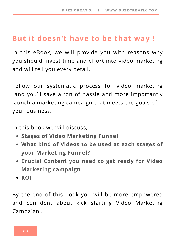#### **But it doesn't have to be that way !**

In this eBook, we will provide you with reasons why you should invest time and effort into video marketing and will tell you every detail.

Follow our systematic process for video marketing and you'll save a ton of hassle and more importantly launch a marketing campaign that meets the goals of your business.

In this book we will discuss,

- **Stages of Video Marketing Funnel**
- **What kind of Videos to be used at each stages of your Marketing Funnel?**
- **Crucial Content you need to get ready for Video Marketing campaign**
- **ROI**

By the end of this book you will be more empowered and confident about kick starting Video Marketing Campaign .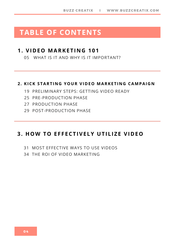#### **TABLE OF CONTENTS**

#### **1. VIDEO MARKETI N G 101**

WHAT IS IT AND WHY IS IT IMPORTANT?

#### **2. KICK STARTI N G YOUR VIDEO MARKETI N G CAMPAIG N**

- PRELIMINARY STEPS: GETTING VIDEO READY
- PRE-PRODUCTION PHASE
- PRODUCTION PHASE
- POST-PRODUCTION PHASE

#### **3. HOW TO E F F ECTIVELY UTILIZE VIDEO**

- MOST EFFECTIVE WAYS TO USE VIDEOS
- THE ROI OF VIDEO MARKETING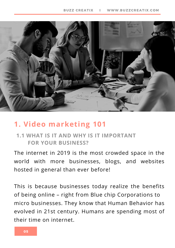

#### **1. Video marketing 101**

#### **1.1 WHAT IS IT AND WHY IS IT IMPORTANT FOR YOUR BUSINESS?**

The internet in 2019 is the most crowded space in the world with more businesses, blogs, and websites hosted in general than ever before!

This is because businesses today realize the benefits of being online – right from Blue chip Corporations to micro businesses. They know that Human Behavior has evolved in 21st century. Humans are spending most of their time on internet.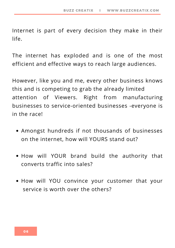Internet is part of every decision they make in their life.

The internet has exploded and is one of the most efficient and effective ways to reach large audiences.

However, like you and me, every other business knows this and is competing to grab the already limited attention of Viewers. Right from manufacturing businesses to service-oriented businesses -everyone is in the race!

- Amongst hundreds if not thousands of businesses on the internet, how will YOURS stand out?
- How will YOUR brand build the authority that converts traffic into sales?
- How will YOU convince your customer that your service is worth over the others?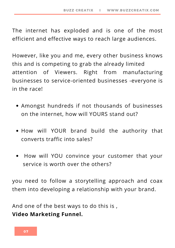The internet has exploded and is one of the most efficient and effective ways to reach large audiences.

However, like you and me, every other business knows this and is competing to grab the already limited attention of Viewers. Right from manufacturing businesses to service-oriented businesses -everyone is in the race!

- Amongst hundreds if not thousands of businesses on the internet, how will YOURS stand out?
- How will YOUR brand build the authority that converts traffic into sales?
- How will YOU convince your customer that your service is worth over the others?

you need to follow a storytelling approach and coax them into developing a relationship with your brand.

And one of the best ways to do this is , **Video Marketing Funnel.**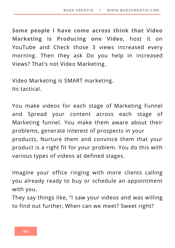**Some people I have come across think that Video Marketing is Producing one Video**, host it on YouTube and Check those 3 views increased every morning. Then they ask Do you help in increased Views? That's not Video Marketing.

Video Marketing is SMART marketing. Its tactical.

You make videos for each stage of Marketing Funnel and Spread your content across each stage of Marketing funnel. You make them aware about their problems, generate interest of prospects in your products, Nurture them and convince them that your product is a right fit for your problem. You do this with various types of videos at defined stages.

Imagine your office ringing with more clients calling you already ready to buy or schedule an appointment with you.

They say things like, "I saw your videos and was willing to find out further, When can we meet? Sweet right?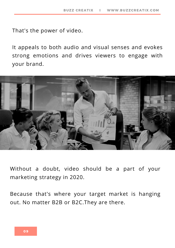That's the power of video.

It appeals to both audio and visual senses and evokes strong emotions and drives viewers to engage with your brand.



Without a doubt, video should be a part of your marketing strategy in 2020.

Because that's where your target market is hanging out. No matter B2B or B2C.They are there.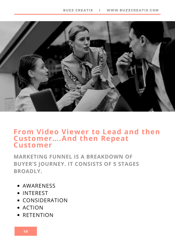

#### **From Video Viewer to Lead and then Customer….And then Repeat Customer**

**MARKETING FUNNEL IS A BREAKDOWN OF BUYER'S JOURNEY. IT CONSISTS OF 5 STAGES BROADLY.**

- AWARENESS
- INTEREST
- CONSIDERATION
- ACTION
- **RETENTION**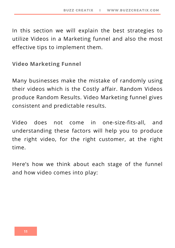In this section we will explain the best strategies to utilize Videos in a Marketing funnel and also the most effective tips to implement them.

**Video Marketing Funnel**

Many businesses make the mistake of randomly using their videos which is the Costly affair. Random Videos produce Random Results. Video Marketing funnel gives consistent and predictable results.

Video does not come in one-size-fits-all, and understanding these factors will help you to produce the right video, for the right customer, at the right time.

Here's how we think about each stage of the funnel and how video comes into play: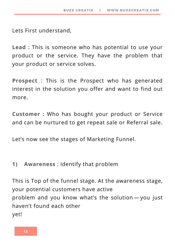Lets First understand,

**Lead** : This is someone who has potential to use your product or the service. They have the problem that your product or service solves.

**Prospect** : This is the Prospect who has generated interest in the solution you offer and want to find out more.

**Customer** : Who has bought your product or Service and can be nurtured to get repeat sale or Referral sale.

Let's now see the stages of Marketing Funnel.

#### **1) Awareness** : Identify that problem

This is Top of the funnel stage. At the awareness stage, your potential customers have active problem and you know what's the solution — you just haven't found each other yet!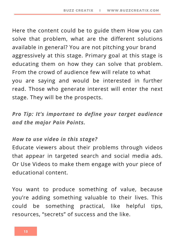Here the content could be to guide them How you can solve that problem, what are the different solutions available in general? You are not pitching your brand aggressively at this stage. Primary goal at this stage is educating them on how they can solve that problem. From the crowd of audience few will relate to what you are saying and would be interested in further read. Those who generate interest will enter the next stage. They will be the prospects.

*Pro Tip: It's important to define your target audience and the major Pain Points.*

#### *How to use video in this stage?*

Educate viewers about their problems through videos that appear in targeted search and social media ads. Or Use Videos to make them engage with your piece of educational content.

You want to produce something of value, because you're adding something valuable to their lives. This could be something practical, like helpful tips, resources, "secrets" of success and the like.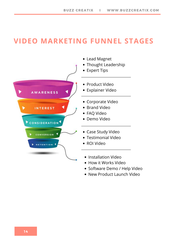#### **VIDEO MARKETING FUNNEL STAGES**



- Lead Magnet
- Thought Leadership
- Expert Tips
- Product Video
- Explainer Video
- Corporate Video
- Brand Video
- FAQ Video
- Demo Video
- Case Study Video
- Testimonial Video
- ROI Video
- Installation Video
- How it Works Video
- Software Demo / Help Video
- New Product Launch Video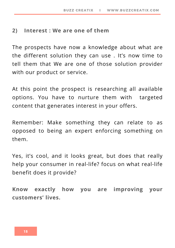#### **2) Interest : We are one of them**

The prospects have now a knowledge about what are the different solution they can use . It's now time to tell them that We are one of those solution provider with our product or service.

At this point the prospect is researching all available options. You have to nurture them with targeted content that generates interest in your offers.

Remember: Make something they can relate to as opposed to being an expert enforcing something on them.

Yes, it's cool, and it looks great, but does that really help your consumer in real-life? focus on what real-life benefit does it provide?

**Know exactly how you are improving your customers' lives.**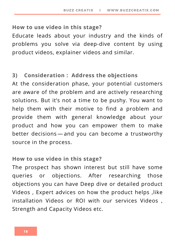#### **How to use video in this stage?**

Educate leads about your industry and the kinds of problems you solve via deep-dive content by using product videos, explainer videos and similar.

#### **3) Consideration : Address the objections**

At the consideration phase, your potential customers are aware of the problem and are actively researching solutions. But it's not a time to be pushy. You want to help them with their motive to find a problem and provide them with general knowledge about your product and how you can empower them to make better decisions — and you can become a trustworthy source in the process.

#### **How to use video in this stage?**

The prospect has shown interest but still have some queries or objections. After researching those objections you can have Deep dive or detailed product Videos, Expert advices on how the product helps, like installation Videos or ROI with our services Videos , Strength and Capacity Videos etc.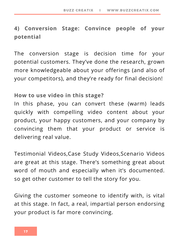#### **4) Conversion Stage: Convince people of your potential**

The conversion stage is decision time for your potential customers. They've done the research, grown more knowledgeable about your offerings (and also of your competitors), and they're ready for final decision!

#### **How to use video in this stage?**

In this phase, you can convert these (warm) leads quickly with compelling video content about your product, your happy customers, and your company by convincing them that your product or service is delivering real value.

Testimonial Videos,Case Study Videos,Scenario Videos are great at this stage. There's something great about word of mouth and especially when it's documented. so get other customer to tell the story for you.

Giving the customer someone to identify with, is vital at this stage. In fact, a real, impartial person endorsing your product is far more convincing.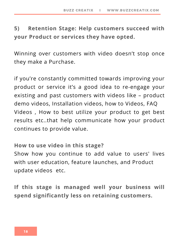#### **5) Retention Stage: Help customers succeed with your Product or services they have opted.**

Winning over customers with video doesn't stop once they make a Purchase.

if you're constantly committed towards improving your product or service it's a good idea to re-engage your existing and past customers with videos like – product demo videos, Installation videos, how to Videos, FAQ Videos , How to best utilize your product to get best results etc..that help communicate how your product continues to provide value.

**How to use video in this stage?**

Show how you continue to add value to users' lives with user education, feature launches, and Product update videos etc.

**If this stage is managed well your business will spend significantly less on retaining customers.**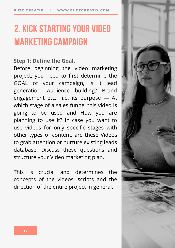### 2. Kick startingyour video **MARKETING CAMPAIGN**

#### **Step 1: Define the Goal.**

Before beginning the video marketing project, you need to first determine the GOAL of your campaign, is it lead generation, Audience building? Brand engagement etc. i.e. its purpose — At which stage of a sales funnel this video is going to be used and How you are planning to use it? In case you want to use videos for only specific stages with other types of content, are these Videos to grab attention or nurture existing leads database. Discuss these questions and structure your Video marketing plan.

This is crucial and determines the concepts of the videos, scripts and the direction of the entire project in general.

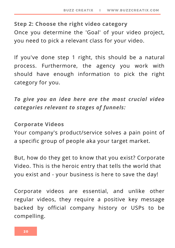#### **Step 2: Choose the right video category**

Once you determine the 'Goal' of your video project, you need to pick a relevant class for your video.

If you've done step 1 right, this should be a natural process. Furthermore, the agency you work with should have enough information to pick the right category for you.

*To give you an idea here are the most crucial video categories relevant to stages of funnels:*

#### **Corporate Videos**

Your company's product/service solves a pain point of a specific group of people aka your target market.

But, how do they get to know that you exist? Corporate Video. This is the heroic entry that tells the world that you exist and - your business is here to save the day!

Corporate videos are essential, and unlike other regular videos, they require a positive key message backed by official company history or USPs to be compelling.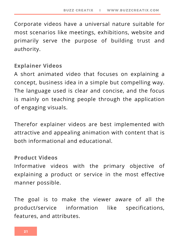Corporate videos have a universal nature suitable for most scenarios like meetings, exhibitions, website and primarily serve the purpose of building trust and authority.

#### **Explainer Videos**

A short animated video that focuses on explaining a concept, business idea in a simple but compelling way. The language used is clear and concise, and the focus is mainly on teaching people through the application of engaging visuals.

Therefor explainer videos are best implemented with attractive and appealing animation with content that is both informational and educational.

#### **Product Videos**

Informative videos with the primary objective of explaining a product or service in the most effective manner possible.

The goal is to make the viewer aware of all the product/service information like specifications, features, and attributes.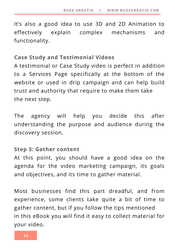It's also a good idea to use 3D and 2D Animation to effectively explain complex mechanisms and functionality.

#### **Case Study and Testimonial Videos**

A testimonial or Case Study video is perfect in addition to a Services Page specifically at the bottom of the website or used in drip campaign and can help build trust and authority that require to make them take the next step.

The agency will help you decide this after understanding the purpose and audience during the discovery session.

#### **Step 3: Gather content**

At this point, you should have a good idea on the agenda for the video marketing campaign, its goals and objectives, and its time to gather material.

Most businesses find this part dreadful, and from experience, some clients take quite a bit of time to gather content, but if you follow the tips mentioned in this eBook you will find it easy to collect material for your video.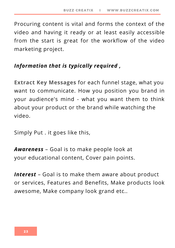Procuring content is vital and forms the context of the video and having it ready or at least easily accessible from the start is great for the workflow of the video marketing project.

#### *Information that is typically required ,*

**Extract Key Messages** for each funnel stage, what you want to communicate. How you position you brand in your audience's mind - what you want them to think about your product or the brand while watching the video.

Simply Put . it goes like this,

*Awareness* – Goal is to make people look at your educational content, Cover pain points.

*Interest* – Goal is to make them aware about product or services, Features and Benefits, Make products look awesome, Make company look grand etc..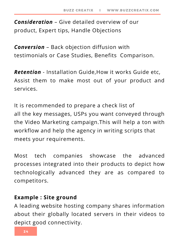*Consideration* – Give detailed overview of our product, Expert tips, Handle Objections

*Conversion* – Back objection diffusion with testimonials or Case Studies, Benefits Comparison.

*Retention* - Installation Guide,How it works Guide etc, Assist them to make most out of your product and services.

It is recommended to prepare a check list of all the key messages, USPs you want conveyed through the Video Marketing campaign.This will help a ton with workflow and help the agency in writing scripts that meets your requirements.

Most tech companies showcase the advanced processes integrated into their products to depict how technologically advanced they are as compared to competitors.

#### **Example : Site ground**

A leading website hosting company shares information about their globally located servers in their videos to depict good connectivity.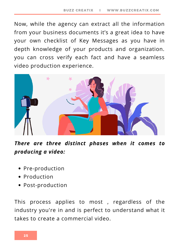Now, while the agency can extract all the information from your business documents it's a great idea to have your own checklist of Key Messages as you have in depth knowledge of your products and organization. you can cross verify each fact and have a seamless video production experience.



*There are three distinct phases when it comes to producing a video:*

- Pre-production
- Production
- Post-production

This process applies to most , regardless of the industry you're in and is perfect to understand what it takes to create a commercial video.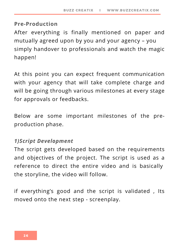#### **Pre-Production**

After everything is finally mentioned on paper and mutually agreed upon by you and your agency – you simply handover to professionals and watch the magic happen!

At this point you can expect frequent communication with your agency that will take complete charge and will be going through various milestones at every stage for approvals or feedbacks.

Below are some important milestones of the preproduction phase.

#### *1)Script Development*

The script gets developed based on the requirements and objectives of the project. The script is used as a reference to direct the entire video and is basically the storyline, the video will follow.

if everything's good and the script is validated , Its moved onto the next step - screenplay.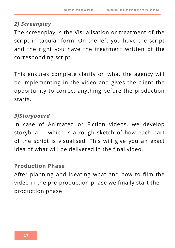#### *2) Screenplay*

The screenplay is the Visualisation or treatment of the script in tabular form. On the left you have the script and the right you have the treatment written of the corresponding script.

This ensures complete clarity on what the agency will be implementing in the video and gives the client the opportunity to correct anything before the production starts.

#### *3)Storyboard*

In case of Animated or Fiction videos, we develop storyboard. which is a rough sketch of how each part of the script is visualised. This will give you an exact idea of what will be delivered in the final video.

#### **Production Phase**

After planning and ideating what and how to film the video in the pre-production phase we finally start the production phase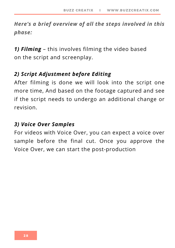*Here's a brief overview of all the steps involved in this phase:*

*1) Filming* – this involves filming the video based on the script and screenplay.

#### *2) Script Adjustment before Editing*

After filming is done we will look into the script one more time, And based on the footage captured and see if the script needs to undergo an additional change or revision.

#### *3) Voice Over Samples*

For videos with Voice Over, you can expect a voice over sample before the final cut. Once you approve the Voice Over, we can start the post-production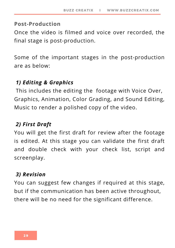#### **Post-Production**

Once the video is filmed and voice over recorded, the final stage is post-production.

Some of the important stages in the post-production are as below:

#### *1) Editing & Graphics*

This includes the editing the footage with Voice Over, Graphics, Animation, Color Grading, and Sound Editing, Music to render a polished copy of the video.

#### *2) First Draft*

You will get the first draft for review after the footage is edited. At this stage you can validate the first draft and double check with your check list, script and screenplay.

#### *3) Revision*

You can suggest few changes if required at this stage, but if the communication has been active throughout, there will be no need for the significant difference.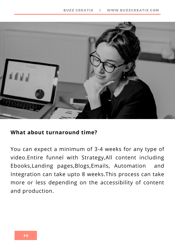

#### **What about turnaround time?**

You can expect a minimum of 3-4 weeks for any type of video.Entire funnel with Strategy,All content including Ebooks,Landing pages,Blogs,Emails, Automation and Integration can take upto 8 weeks.This process can take more or less depending on the accessibility of content and production.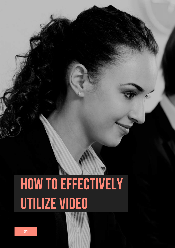## HOW TO EFFECTIVELY utilize video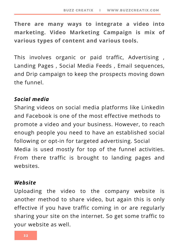**There are many ways to integrate a video into marketing. Video Marketing Campaign is mix of various types of content and various tools.**

This involves organic or paid traffic, Advertising , Landing Pages , Social Media Feeds , Email sequences, and Drip campaign to keep the prospects moving down the funnel.

#### *Social media*

Sharing videos on social media platforms like LinkedIn and Facebook is one of the most effective methods to promote a video and your business. However, to reach enough people you need to have an established social following or opt-in for targeted advertising. Social Media is used mostly for top of the funnel activities. From there traffic is brought to landing pages and websites.

#### *Website*

Uploading the video to the company website is another method to share video, but again this is only effective if you have traffic coming in or are regularly sharing your site on the internet. So get some traffic to your website as well.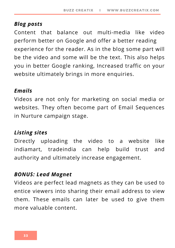#### *Blog posts*

Content that balance out multi-media like video perform better on Google and offer a better reading experience for the reader. As in the blog some part will be the video and some will be the text. This also helps you in better Google ranking, Increased traffic on your website ultimately brings in more enquiries.

#### *Emails*

Videos are not only for marketing on social media or websites. They often become part of Email Sequences in Nurture campaign stage.

#### *Listing sites*

Directly uploading the video to a website like indiamart, tradeindia can help build trust and authority and ultimately increase engagement.

#### *BONUS: Lead Magnet*

Videos are perfect lead magnets as they can be used to entice viewers into sharing their email address to view them. These emails can later be used to give them more valuable content.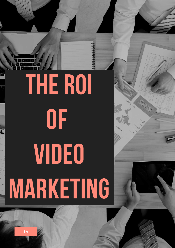# The ROI of VIDEO MARKETING

34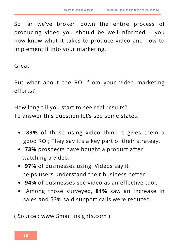So far we've broken down the entire process of producing video you should be well-informed – you now know what it takes to produce video and how to implement it into your marketing.

Great!

But what about the ROI from your video marketing efforts?

How long till you start to see real results? To answer this question let's see some states,

- **83%** of those using video think it gives them a good ROI; They say it's a key part of their strategy.
- **73%** prospects have bought a product after watching a video.
- **97%** of businesses using Videos say it helps users understand their business better.
- **94%** of businesses see video as an effective tool.
- Among those surveyed, **81%** saw an increase in sales and 53% said support calls were reduced.

( Source : www.SmartInsights.com )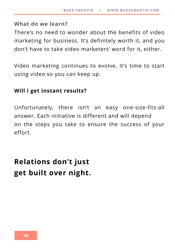#### **What do we learn?**

There's no need to wonder about the benefits of video marketing for business. It's definitely worth it, and you don't have to take video marketers' word for it, either.

Video marketing continues to evolve. It's time to start using video so you can keep up.

#### **Will i get instant results?**

Unfortunately, there isn't an easy one-size-fits-all answer. Each initiative is different and will depend on the steps you take to ensure the success of your effort.

### **Relations don't just get built over night.**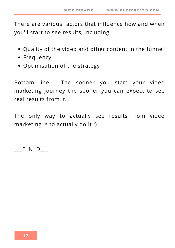There are various factors that influence how and when you'll start to see results, including:

- Quality of the video and other content in the funnel
- Frequency
- Optimisation of the strategy

Bottom line : The sooner you start your video marketing journey the sooner you can expect to see real results from it.

The only way to actually see results from video marketing is to actually do it :)

 $E \vee D$